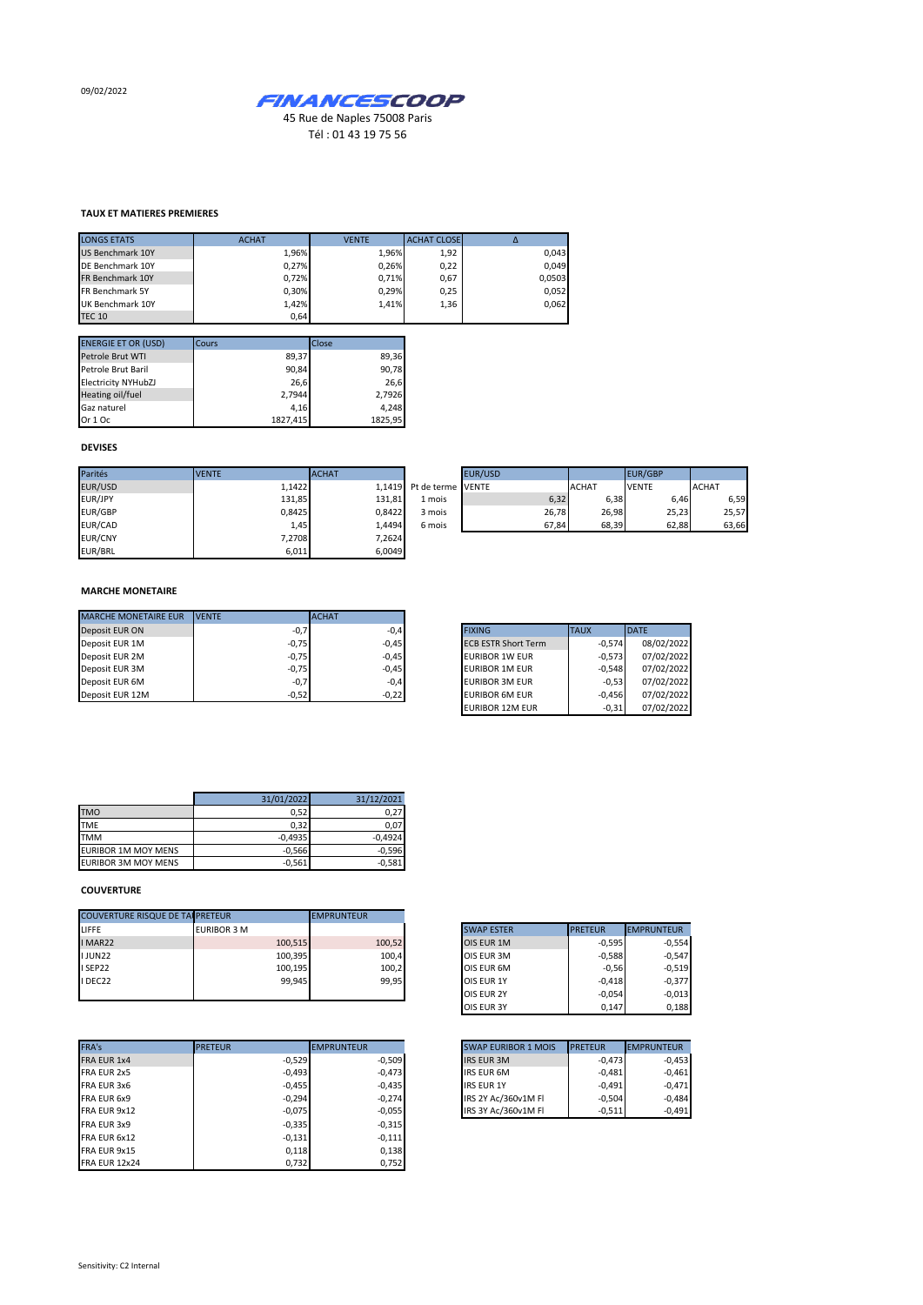09/02/2022



Tél : 01 43 19 75 56

## **TAUX ET MATIERES PREMIERES**

| <b>LONGS ETATS</b>     | <b>ACHAT</b> | <b>VENTE</b> | <b>ACHAT CLOSE</b> |        |
|------------------------|--------------|--------------|--------------------|--------|
| US Benchmark 10Y       | 1,96%        | 1.96%        | 1,92               | 0,043  |
| DE Benchmark 10Y       | 0.27%        | 0.26%        | 0,22               | 0.049  |
| FR Benchmark 10Y       | 0.72%        | 0.71%        | 0,67               | 0,0503 |
| <b>FR Benchmark 5Y</b> | 0.30%        | 0.29%        | 0,25               | 0,052  |
| UK Benchmark 10Y       | 1,42%        | 1.41%        | 1,36               | 0,062  |
| <b>TEC 10</b>          | 0,64         |              |                    |        |

| <b>ENERGIE ET OR (USD)</b> | Cours    | Close   |
|----------------------------|----------|---------|
| Petrole Brut WTI           | 89,37    | 89,36   |
| Petrole Brut Baril         | 90,84    | 90,78   |
| <b>Electricity NYHubZJ</b> | 26,6     | 26.6    |
| Heating oil/fuel           | 2,7944   | 2,7926  |
| Gaz naturel                | 4,16     | 4,248   |
| Or 1 Oc                    | 1827,415 | 1825.95 |

## **DEVISES**

| Parités        | <b>VENTE</b> | <b>ACHAT</b> |                          | EUR/USD |              | <b>EUR/GBP</b> |              |
|----------------|--------------|--------------|--------------------------|---------|--------------|----------------|--------------|
| EUR/USD        | 1,1422       |              | 1.1419 Pt de terme VENTE |         | <b>ACHAT</b> | <b>VENTE</b>   | <b>ACHAT</b> |
| EUR/JPY        | 131,85       | 131,81       | 1 mois                   | 6,32    | 6,38         | 6.46           | 6,59         |
| <b>EUR/GBP</b> | 0.8425       | 0.8422       | 3 mois                   | 26.78   | 26,98        | 25,23          | 25,57        |
| EUR/CAD        | 1,45         | 1.4494       | 6 mois                   | 67.84   | 68,39        | 62.88          | 63,66        |
| EUR/CNY        | 7,2708       | 7,2624       |                          |         |              |                |              |
| EUR/BRL        | 6,011        | 6,0049       |                          |         |              |                |              |

|                | EUR/USD |       |              |       | <b>EUR/GBP</b> |       |              |       |
|----------------|---------|-------|--------------|-------|----------------|-------|--------------|-------|
| le terme VENTE |         |       | <b>ACHAT</b> |       | <b>VENTE</b>   |       | <b>ACHAT</b> |       |
| . mois         |         | 6,32  |              | 6,38  |                | 6,46  |              | 6,59  |
| mois           |         | 26,78 |              | 26,98 |                | 25,23 |              | 25,57 |
| i mois         |         | 67,84 |              | 68,39 |                | 62,88 |              | 63,66 |

## **MARCHE MONETAIRE**

| <b>MARCHE MONETAIRE EUR</b> | <b>IVENTE</b> | <b>ACHAT</b> |
|-----------------------------|---------------|--------------|
| Deposit EUR ON              | $-0,7$        | $-0,4$       |
| Deposit EUR 1M              | $-0,75$       | $-0,45$      |
| Deposit EUR 2M              | $-0,75$       | $-0,45$      |
| Deposit EUR 3M              | $-0,75$       | $-0.45$      |
| Deposit EUR 6M              | $-0,7$        | $-0,4$       |
| Deposit EUR 12M             | $-0,52$       | $-0,22$      |

| <b>FIXING</b>              | <b>TAUX</b> | <b>DATE</b> |
|----------------------------|-------------|-------------|
| <b>ECB ESTR Short Term</b> | $-0.574$    | 08/02/2022  |
| <b>EURIBOR 1W EUR</b>      | $-0.573$    | 07/02/2022  |
| <b>EURIBOR 1M EUR</b>      | $-0.548$    | 07/02/2022  |
| <b>EURIBOR 3M EUR</b>      | $-0.53$     | 07/02/2022  |
| <b>EURIBOR 6M EUR</b>      | $-0.456$    | 07/02/2022  |
| <b>EURIBOR 12M EUR</b>     | $-0.31$     | 07/02/2022  |

|                            | 31/01/2022 | 31/12/2021 |
|----------------------------|------------|------------|
| <b>TMO</b>                 | 0,52       | 0.27       |
| <b>TME</b>                 | 0,32       | 0,07       |
| <b>TMM</b>                 | $-0,4935$  | $-0.4924$  |
| <b>EURIBOR 1M MOY MENS</b> | $-0,566$   | $-0,596$   |
| <b>EURIBOR 3M MOY MENS</b> | $-0,561$   | $-0,581$   |

## **COUVERTURE**

| <b>COUVERTURE RISQUE DE TAI PRETEUR</b> |                    |         | <b>EMPRUNTEUR</b> |                   |                |
|-----------------------------------------|--------------------|---------|-------------------|-------------------|----------------|
| LIFFE                                   | <b>EURIBOR 3 M</b> |         |                   | <b>SWAP ESTER</b> | <b>PRETEUR</b> |
| I MAR22                                 |                    | 100,515 | 100,52            | OIS EUR 1M        |                |
| <b>IJUN22</b>                           |                    | 100,395 | 100,4             | OIS EUR 3M        |                |
| I SEP22                                 |                    | 100,195 | 100,2             | OIS EUR 6M        |                |
| I DEC22                                 |                    | 99.945  | 99.95             | <b>OIS EUR 1Y</b> |                |
|                                         |                    |         |                   | OIS EUR 2Y        |                |

| FRA's              | <b>PRETEUR</b> |          | <b>EMPRUNTEUR</b> | <b>SWAP EURIBOR 1 MOIS</b> | <b>PRETEUR</b> | <b>EMPRUNTEUR</b> |
|--------------------|----------------|----------|-------------------|----------------------------|----------------|-------------------|
| <b>FRA EUR 1x4</b> |                | $-0,529$ | $-0,509$          | <b>IRS EUR 3M</b>          | $-0,473$       | $-0,453$          |
| FRA EUR 2x5        |                | $-0,493$ | $-0,473$          | <b>IRS EUR 6M</b>          | $-0,481$       | $-0,461$          |
| FRA EUR 3x6        |                | $-0,455$ | $-0,435$          | <b>IRS EUR 1Y</b>          | $-0.491$       | $-0,471$          |
| FRA EUR 6x9        |                | $-0,294$ | $-0,274$          | IRS 2Y Ac/360v1M FI        | $-0,504$       | $-0,484$          |
| FRA EUR 9x12       |                | $-0,075$ | $-0,055$          | IRS 3Y Ac/360v1M FI        | $-0,511$       | $-0,491$          |
| FRA EUR 3x9        |                | $-0,335$ | $-0,315$          |                            |                |                   |
| FRA EUR 6x12       |                | $-0,131$ | $-0,111$          |                            |                |                   |
| FRA EUR 9x15       |                | 0,118    | 0,138             |                            |                |                   |
| FRA EUR 12x24      |                | 0.732    | 0,752             |                            |                |                   |

| <b>SWAP ESTER</b> | <b>PRETEUR</b> | <b>EMPRUNTEUR</b> |
|-------------------|----------------|-------------------|
| OIS EUR 1M        | $-0,595$       | $-0,554$          |
| OIS EUR 3M        | $-0,588$       | $-0.547$          |
| OIS EUR 6M        | $-0,56$        | $-0,519$          |
| OIS EUR 1Y        | $-0.418$       | $-0.377$          |
| OIS EUR 2Y        | $-0.054$       | $-0,013$          |
| OIS EUR 3Y        | 0,147          | 0,188             |

| <b>SWAP EURIBOR 1 MOIS</b> | <b>PRETEUR</b> | <b>EMPRUNTEUR</b> |
|----------------------------|----------------|-------------------|
| <b>IRS EUR 3M</b>          | $-0,473$       | $-0,453$          |
| <b>IRS EUR 6M</b>          | $-0.481$       | $-0,461$          |
| <b>IRS EUR 1Y</b>          | $-0.491$       | $-0.471$          |
| IRS 2Y Ac/360v1M FI        | $-0.504$       | $-0,484$          |
| IRS 3Y Ac/360v1M Fl        | $-0.511$       | $-0.491$          |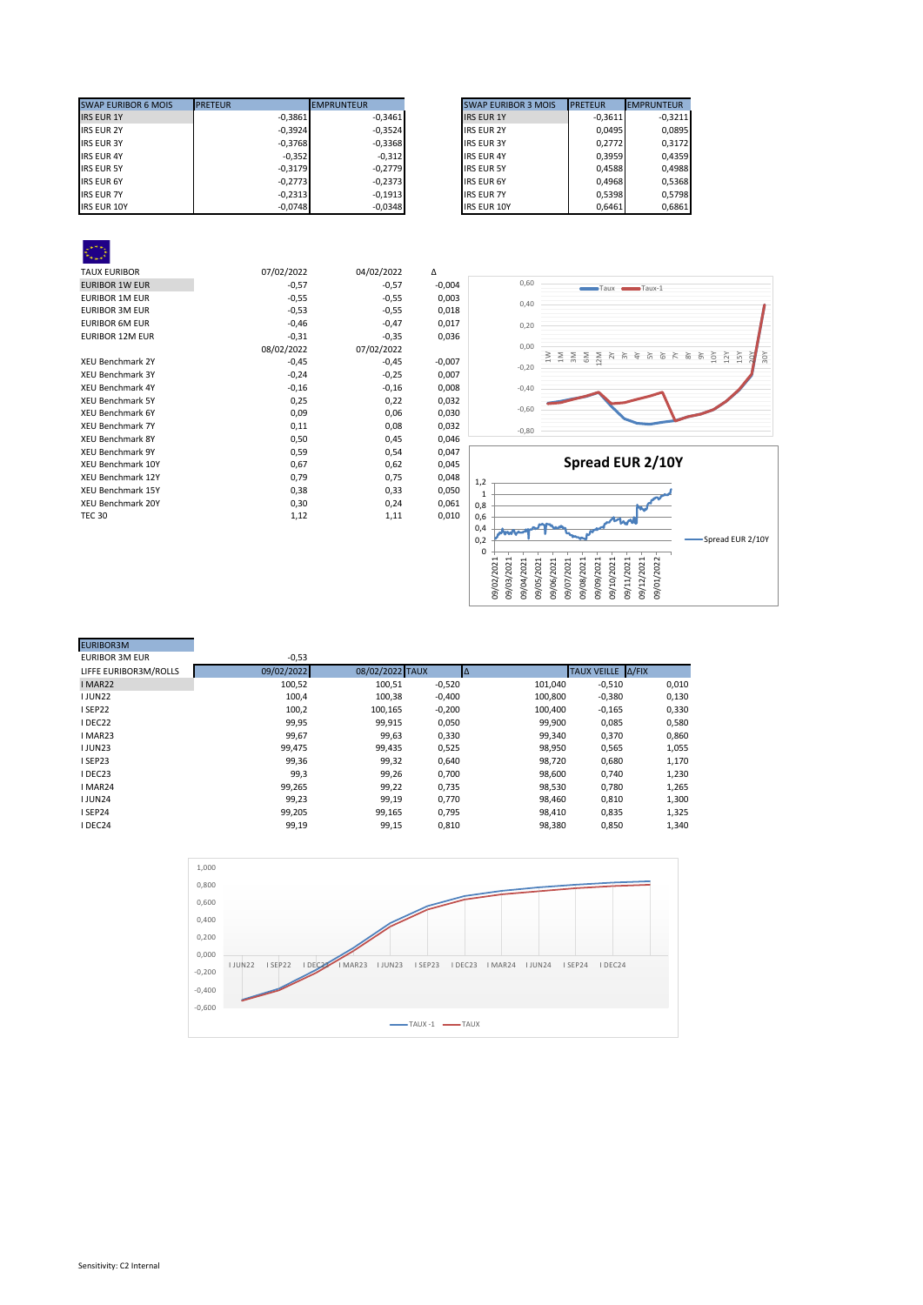| <b>SWAP EURIBOR 6 MOIS</b> | <b>PRETEUR</b> | <b>EMPRUNTEUR</b> | <b>SWAP EURIBOR 3 MOIS</b> | <b>PRETEUR</b> | <b>EMPRUNTEUR</b> |
|----------------------------|----------------|-------------------|----------------------------|----------------|-------------------|
| <b>IRS EUR 1Y</b>          | $-0.3861$      | $-0.3461$         | <b>IRS EUR 1Y</b>          | $-0.3611$      | $-0,3211$         |
| <b>IRS EUR 2Y</b>          | $-0,3924$      | $-0,3524$         | <b>IRS EUR 2Y</b>          | 0.0495         |                   |
| <b>IRS EUR 3Y</b>          | $-0,3768$      | $-0,3368$         | <b>IRS EUR 3Y</b>          | 0.2772         |                   |
| <b>IRS EUR 4Y</b>          | $-0,352$       | $-0,312$          | <b>IRS EUR 4Y</b>          | 0.3959         |                   |
| <b>IRS EUR 5Y</b>          | $-0,3179$      | $-0.2779$         | <b>IRS EUR 5Y</b>          | 0.4588         |                   |
| <b>IRS EUR 6Y</b>          | $-0.2773$      | $-0.2373$         | <b>IRS EUR 6Y</b>          | 0.4968         |                   |
| <b>IRS EUR 7Y</b>          | $-0.2313$      | $-0.1913$         | <b>IRS EUR 7Y</b>          | 0,5398         |                   |
| <b>IRS EUR 10Y</b>         | $-0,0748$      | $-0,0348$         | <b>IRS EUR 10Y</b>         | 0,6461         |                   |

| <b>SWAP EURIBOR 3 MOIS</b> | <b>PRETEUR</b> | <b>EMPRUNTEUR</b> |
|----------------------------|----------------|-------------------|
| <b>IRS EUR 1Y</b>          | $-0,3611$      | $-0.3211$         |
| <b>IRS EUR 2Y</b>          | 0,0495         | 0,0895            |
| <b>IRS EUR 3Y</b>          | 0.2772         | 0.3172            |
| <b>IRS EUR 4Y</b>          | 0.3959         | 0.4359            |
| <b>IRS EUR 5Y</b>          | 0.4588         | 0.4988            |
| <b>IRS EUR 6Y</b>          | 0,4968         | 0,5368            |
| <b>IRS EUR 7Y</b>          | 0,5398         | 0.5798            |
| <b>IRS EUR 10Y</b>         | 0.6461         | 0.6861            |

 $\overline{R}$ 

| <b>TAUX EURIBOR</b>      | 07/02/2022 | 04/02/2022 | Δ        |
|--------------------------|------------|------------|----------|
| <b>EURIBOR 1W EUR</b>    | $-0,57$    | $-0,57$    | $-0,004$ |
| <b>EURIBOR 1M EUR</b>    | $-0,55$    | $-0,55$    | 0,003    |
| <b>EURIBOR 3M EUR</b>    | $-0,53$    | $-0,55$    | 0,018    |
| <b>EURIBOR 6M EUR</b>    | $-0,46$    | $-0,47$    | 0,017    |
| <b>EURIBOR 12M EUR</b>   | $-0,31$    | $-0,35$    | 0,036    |
|                          | 08/02/2022 | 07/02/2022 |          |
| <b>XEU Benchmark 2Y</b>  | $-0,45$    | $-0,45$    | $-0,007$ |
| XEU Benchmark 3Y         | $-0,24$    | $-0,25$    | 0,007    |
| <b>XEU Benchmark 4Y</b>  | $-0,16$    | $-0,16$    | 0,008    |
| <b>XEU Benchmark 5Y</b>  | 0,25       | 0,22       | 0,032    |
| <b>XEU Benchmark 6Y</b>  | 0,09       | 0,06       | 0,030    |
| <b>XEU Benchmark 7Y</b>  | 0,11       | 0,08       | 0,032    |
| <b>XEU Benchmark 8Y</b>  | 0,50       | 0,45       | 0,046    |
| <b>XEU Benchmark 9Y</b>  | 0,59       | 0,54       | 0,047    |
| XEU Benchmark 10Y        | 0,67       | 0,62       | 0,045    |
| <b>XEU Benchmark 12Y</b> | 0,79       | 0,75       | 0,048    |
| <b>XEU Benchmark 15Y</b> | 0,38       | 0,33       | 0,050    |
| <b>XEU Benchmark 20Y</b> | 0,30       | 0,24       | 0,061    |
| <b>TEC 30</b>            | 1,12       | 1,11       | 0,010    |
|                          |            |            |          |





| <b>EURIBUR3IVI</b>    |            |                 |          |         |                   |       |
|-----------------------|------------|-----------------|----------|---------|-------------------|-------|
| <b>EURIBOR 3M EUR</b> | $-0,53$    |                 |          |         |                   |       |
| LIFFE EURIBOR3M/ROLLS | 09/02/2022 | 08/02/2022 TAUX |          |         | TAUX VEILLE A/FIX |       |
| I MAR22               | 100,52     | 100,51          | $-0,520$ | 101,040 | $-0,510$          | 0,010 |
| <b>IJUN22</b>         | 100,4      | 100,38          | $-0,400$ | 100,800 | $-0,380$          | 0,130 |
| I SEP22               | 100,2      | 100.165         | $-0,200$ | 100,400 | $-0,165$          | 0,330 |
| I DEC22               | 99,95      | 99,915          | 0,050    | 99,900  | 0,085             | 0,580 |
| I MAR23               | 99,67      | 99,63           | 0,330    | 99,340  | 0,370             | 0,860 |
| <b>IJUN23</b>         | 99,475     | 99,435          | 0,525    | 98,950  | 0,565             | 1,055 |
| I SEP23               | 99,36      | 99,32           | 0,640    | 98,720  | 0,680             | 1,170 |
| I DEC23               | 99,3       | 99,26           | 0,700    | 98,600  | 0,740             | 1,230 |
| I MAR24               | 99,265     | 99,22           | 0,735    | 98,530  | 0,780             | 1,265 |
| <b>IJUN24</b>         | 99,23      | 99,19           | 0,770    | 98,460  | 0,810             | 1,300 |
| I SEP24               | 99,205     | 99,165          | 0,795    | 98,410  | 0,835             | 1,325 |
| I DEC24               | 99,19      | 99,15           | 0,810    | 98,380  | 0,850             | 1,340 |
|                       |            |                 |          |         |                   |       |